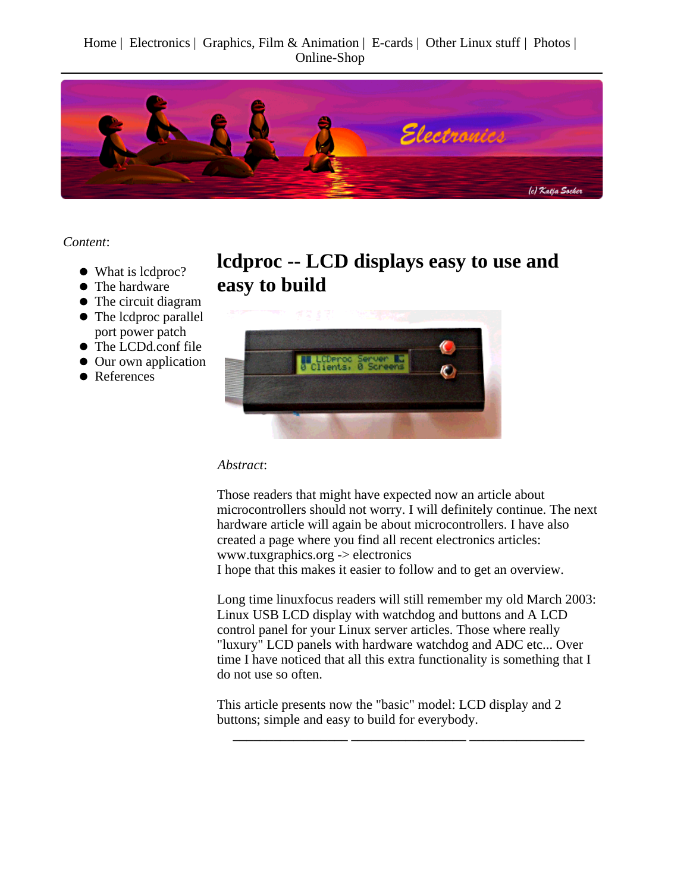Home | Electronics | Graphics, Film & Animation | E-cards | Other Linux stuff | Photos | Online-Shop



*Content*:

- What is lcdproc?
- The hardware
- The circuit diagram
- The lcdproc parallel port power patch
- The LCDd.conf file
- Our own application
- References

**lcdproc -- LCD displays easy to use and easy to build**



*Abstract*:

Those readers that might have expected now an article about microcontrollers should not worry. I will definitely continue. The next hardware article will again be about microcontrollers. I have also created a page where you find all recent electronics articles: www.tuxgraphics.org -> electronics

I hope that this makes it easier to follow and to get an overview.

Long time linuxfocus readers will still remember my old March 2003: Linux USB LCD display with watchdog and buttons and A LCD control panel for your Linux server articles. Those where really "luxury" LCD panels with hardware watchdog and ADC etc... Over time I have noticed that all this extra functionality is something that I do not use so often.

**\_\_\_\_\_\_\_\_\_\_\_\_\_\_\_\_\_ \_\_\_\_\_\_\_\_\_\_\_\_\_\_\_\_\_ \_\_\_\_\_\_\_\_\_\_\_\_\_\_\_\_\_**

This article presents now the "basic" model: LCD display and 2 buttons; simple and easy to build for everybody.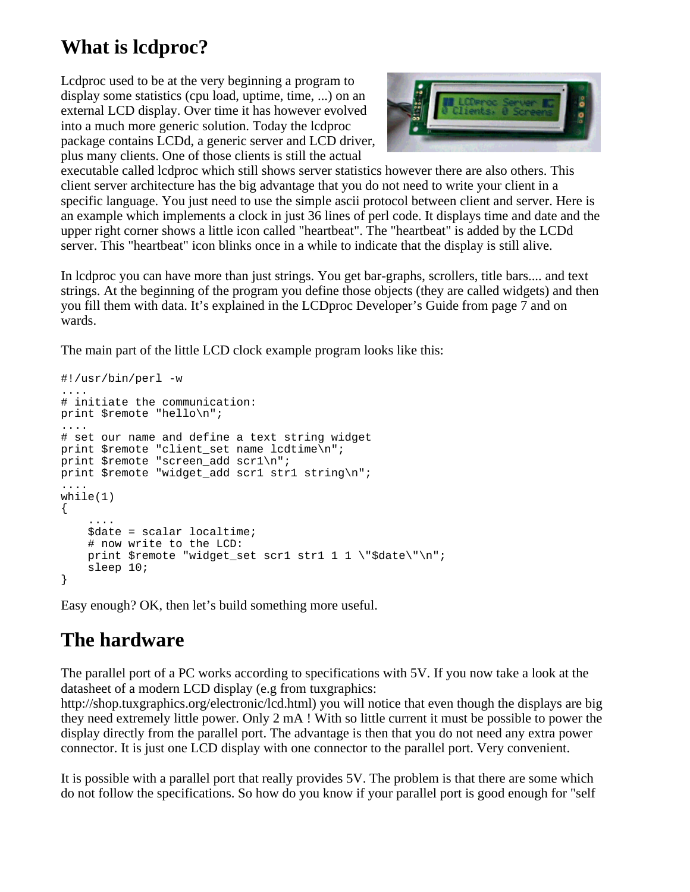### **What is lcdproc?**

Lcdproc used to be at the very beginning a program to display some statistics (cpu load, uptime, time, ...) on an external LCD display. Over time it has however evolved into a much more generic solution. Today the lcdproc package contains LCDd, a generic server and LCD driver, plus many clients. One of those clients is still the actual



executable called lcdproc which still shows server statistics however there are also others. This client server architecture has the big advantage that you do not need to write your client in a specific language. You just need to use the simple ascii protocol between client and server. Here is an example which implements a clock in just 36 lines of perl code. It displays time and date and the upper right corner shows a little icon called "heartbeat". The "heartbeat" is added by the LCDd server. This "heartbeat" icon blinks once in a while to indicate that the display is still alive.

In lcdproc you can have more than just strings. You get bar-graphs, scrollers, title bars.... and text strings. At the beginning of the program you define those objects (they are called widgets) and then you fill them with data. It's explained in the LCDproc Developer's Guide from page 7 and on wards.

The main part of the little LCD clock example program looks like this:

```
#!/usr/bin/perl -w
....
# initiate the communication:
print $remote "hello\n";
....
# set our name and define a text string widget
print $remote "client set name lcdtime\n";
print $remote "screen add scr1\n";
print $remote "widget add scr1 str1 string\n";
....
while(1){
     ....
     $date = scalar localtime;
     # now write to the LCD:
    print $remote "widget set scr1 str1 1 1 \"$date\"\n";
     sleep 10;
}
```
Easy enough? OK, then let's build something more useful.

# **The hardware**

The parallel port of a PC works according to specifications with 5V. If you now take a look at the datasheet of a modern LCD display (e.g from tuxgraphics:

http://shop.tuxgraphics.org/electronic/lcd.html) you will notice that even though the displays are big they need extremely little power. Only 2 mA ! With so little current it must be possible to power the display directly from the parallel port. The advantage is then that you do not need any extra power connector. It is just one LCD display with one connector to the parallel port. Very convenient.

It is possible with a parallel port that really provides 5V. The problem is that there are some which do not follow the specifications. So how do you know if your parallel port is good enough for "self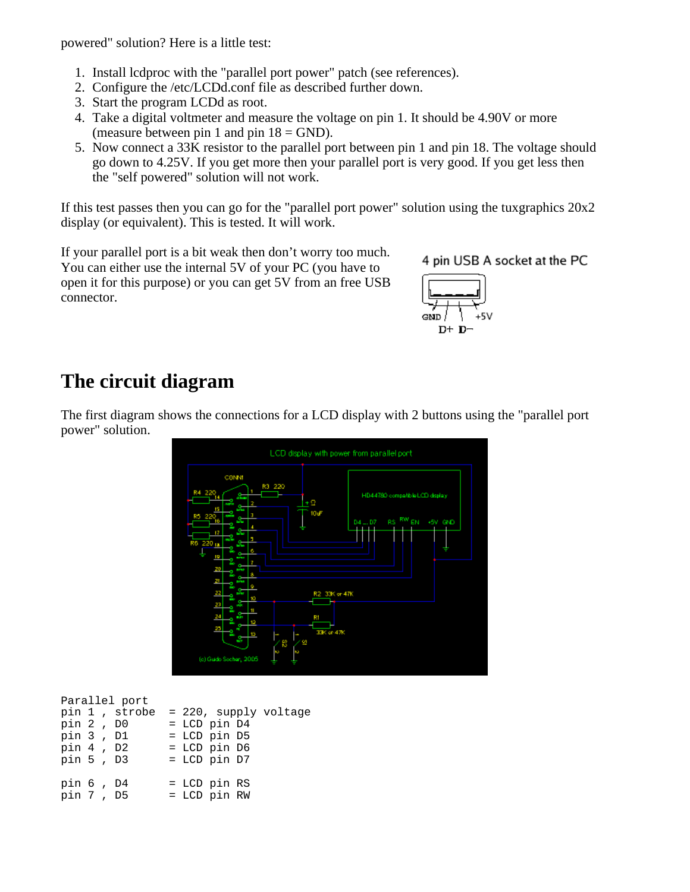powered" solution? Here is a little test:

- 1. Install lcdproc with the "parallel port power" patch (see references).
- 2. Configure the /etc/LCDd.conf file as described further down.
- 3. Start the program LCDd as root.
- 4. Take a digital voltmeter and measure the voltage on pin 1. It should be 4.90V or more (measure between pin 1 and pin  $18 = \text{GND}$ ).
- 5. Now connect a 33K resistor to the parallel port between pin 1 and pin 18. The voltage should go down to 4.25V. If you get more then your parallel port is very good. If you get less then the "self powered" solution will not work.

If this test passes then you can go for the "parallel port power" solution using the tuxgraphics 20x2 display (or equivalent). This is tested. It will work.

If your parallel port is a bit weak then don't worry too much. You can either use the internal 5V of your PC (you have to open it for this purpose) or you can get 5V from an free USB connector.

4 pin USB A socket at the PC



#### **The circuit diagram**

The first diagram shows the connections for a LCD display with 2 buttons using the "parallel port power" solution.



| Parallel port |                       |
|---------------|-----------------------|
| pin 1, strobe | = 220, supply voltage |
| pin 2, D0     | $=$ LCD pin D4        |
| pin 3, D1     | = LCD pin D5          |
| pin 4, D2     | = LCD pin D6          |
| pin 5, D3     | $=$ LCD pin D7        |
| pin 6, D4     | $=$ LCD pin RS        |
|               |                       |
| pin 7, D5     | = LCD pin RW          |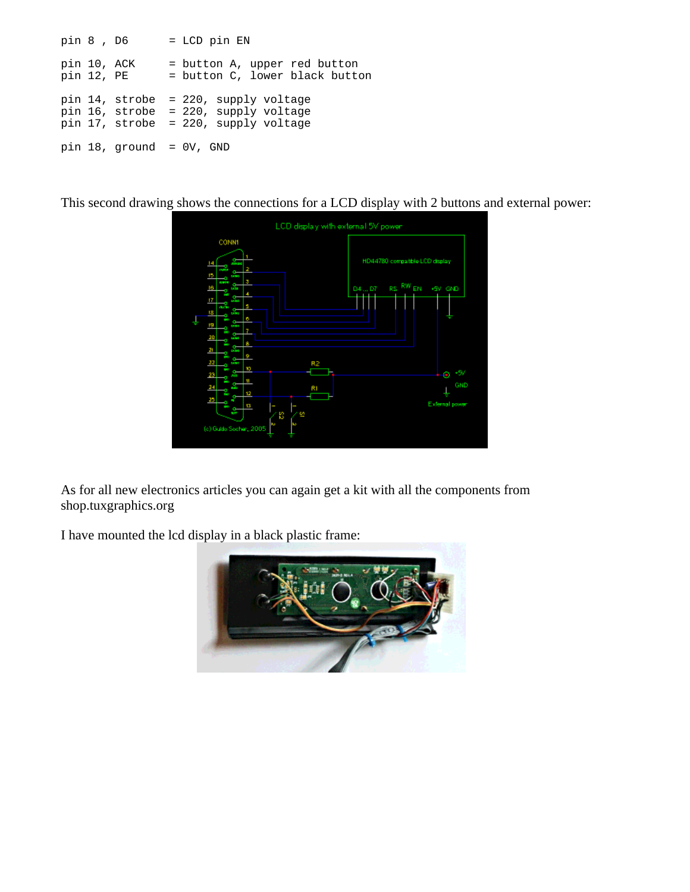```
pin 8 , D6 = LCD pin EN
pin 10, ACK = button A, upper red button<br>pin 12, PE = button C, lower black button
                  = button C, lower black button
pin 14, strobe = 220, supply voltage
pin 16, strobe = 220, supply voltage
pin 17, strobe = 220, supply voltage
pin 18, ground = 0V, GND
```
This second drawing shows the connections for a LCD display with 2 buttons and external power:



As for all new electronics articles you can again get a kit with all the components from shop.tuxgraphics.org

I have mounted the lcd display in a black plastic frame:

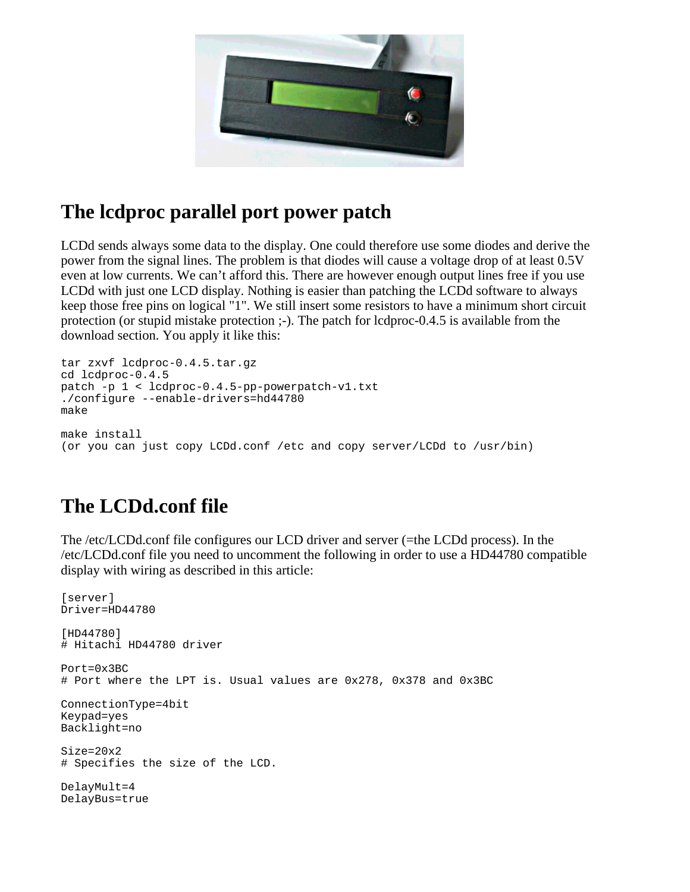

#### **The lcdproc parallel port power patch**

LCDd sends always some data to the display. One could therefore use some diodes and derive the power from the signal lines. The problem is that diodes will cause a voltage drop of at least 0.5V even at low currents. We can't afford this. There are however enough output lines free if you use LCDd with just one LCD display. Nothing is easier than patching the LCDd software to always keep those free pins on logical "1". We still insert some resistors to have a minimum short circuit protection (or stupid mistake protection ;-). The patch for lcdproc-0.4.5 is available from the download section. You apply it like this:

```
tar zxvf lcdproc-0.4.5.tar.gz
cd lcdproc-0.4.5
patch -p 1 < lcdproc-0.4.5-pp-powerpatch-v1.txt
./configure --enable-drivers=hd44780
make
make install
(or you can just copy LCDd.conf /etc and copy server/LCDd to /usr/bin)
```
### **The LCDd.conf file**

The /etc/LCDd.conf file configures our LCD driver and server (=the LCDd process). In the /etc/LCDd.conf file you need to uncomment the following in order to use a HD44780 compatible display with wiring as described in this article:

```
[server]
Driver=HD44780
[HD44780]
# Hitachi HD44780 driver
Port=0x3BC
# Port where the LPT is. Usual values are 0x278, 0x378 and 0x3BC
ConnectionType=4bit
Keypad=yes
Backlight=no
Size=20x2
# Specifies the size of the LCD.
DelayMult=4
DelayBus=true
```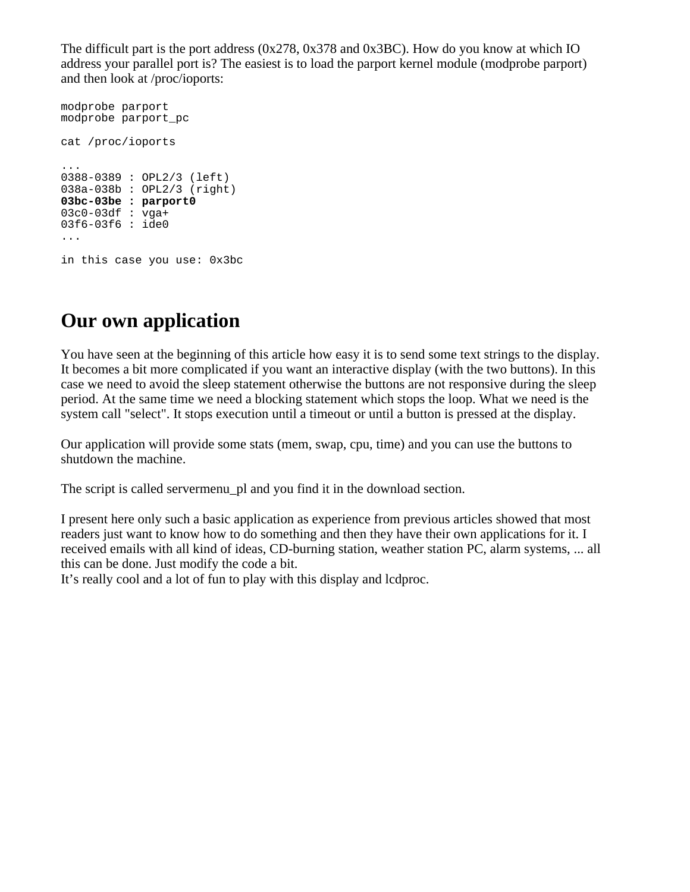The difficult part is the port address (0x278, 0x378 and 0x3BC). How do you know at which IO address your parallel port is? The easiest is to load the parport kernel module (modprobe parport) and then look at /proc/ioports:

```
modprobe parport
modprobe parport_pc
cat /proc/ioports
...
0388-0389 : OPL2/3 (left)
038a-038b : OPL2/3 (right)
03bc-03be : parport0
03c0-03df : vqa+03f6-03f6 : ide0
...
in this case you use: 0x3bc
```
#### **Our own application**

You have seen at the beginning of this article how easy it is to send some text strings to the display. It becomes a bit more complicated if you want an interactive display (with the two buttons). In this case we need to avoid the sleep statement otherwise the buttons are not responsive during the sleep period. At the same time we need a blocking statement which stops the loop. What we need is the system call "select". It stops execution until a timeout or until a button is pressed at the display.

Our application will provide some stats (mem, swap, cpu, time) and you can use the buttons to shutdown the machine.

The script is called servermenu\_pl and you find it in the download section.

I present here only such a basic application as experience from previous articles showed that most readers just want to know how to do something and then they have their own applications for it. I received emails with all kind of ideas, CD-burning station, weather station PC, alarm systems, ... all this can be done. Just modify the code a bit.

It's really cool and a lot of fun to play with this display and lcdproc.